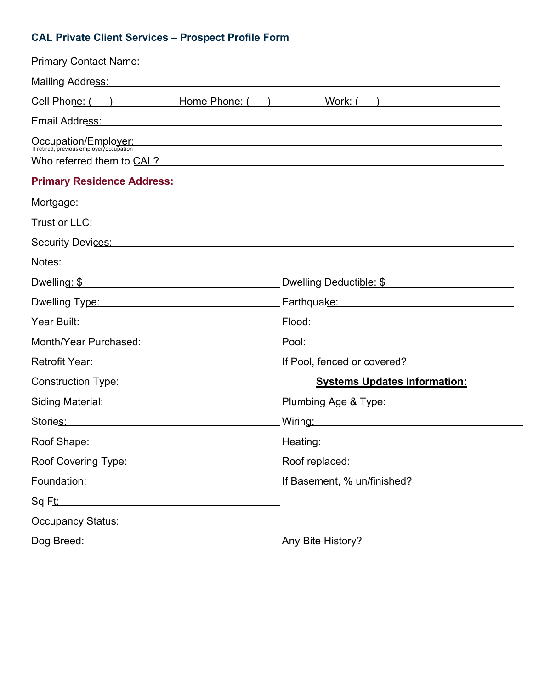# **CAL Private Client Services – Prospect Profile Form**

| <b>Primary Contact Name:</b>                                                                                                                                                                                                   |                |                                                                                                                                                                                                                                                                                                    |
|--------------------------------------------------------------------------------------------------------------------------------------------------------------------------------------------------------------------------------|----------------|----------------------------------------------------------------------------------------------------------------------------------------------------------------------------------------------------------------------------------------------------------------------------------------------------|
| Mailing Address: William School School School School School School School School School School School School S                                                                                                                 |                |                                                                                                                                                                                                                                                                                                    |
| Cell Phone: ( )                                                                                                                                                                                                                | Home Phone: () | Work: (                                                                                                                                                                                                                                                                                            |
| Email Address: No. 2008. And The Contract of The Contract of The Contract of The Contract of The Contract of T                                                                                                                 |                |                                                                                                                                                                                                                                                                                                    |
| Occupation/Employer:                                                                                                                                                                                                           |                | <u> 1989 - Johann Stoff, amerikansk politiker (d. 1989)</u><br>Who referred them to <u>CAL?</u> All the second the second second the second second second second second second second second second second second second second second second second second second second second second second sec |
| <b>Primary Residence Address:</b>                                                                                                                                                                                              |                |                                                                                                                                                                                                                                                                                                    |
|                                                                                                                                                                                                                                |                |                                                                                                                                                                                                                                                                                                    |
|                                                                                                                                                                                                                                |                |                                                                                                                                                                                                                                                                                                    |
|                                                                                                                                                                                                                                |                | Security Devices: Management of the Contract of the Security Devices: Management of the Security Devices:                                                                                                                                                                                          |
| Notes:                                                                                                                                                                                                                         |                | <u> 1989 - Johann Stoff, deutscher Stoffen und der Stoffen und der Stoffen und der Stoffen und der Stoffen und de</u>                                                                                                                                                                              |
| Dwelling: \$                                                                                                                                                                                                                   |                | Dwelling Deductible: \$                                                                                                                                                                                                                                                                            |
| Dwelling Type: Management Control of Type: Management Control of Type: Management Control of Type Control of T                                                                                                                 |                |                                                                                                                                                                                                                                                                                                    |
|                                                                                                                                                                                                                                |                |                                                                                                                                                                                                                                                                                                    |
| Month/Year Purchased: National Property of the Month/Year Purchased:                                                                                                                                                           |                |                                                                                                                                                                                                                                                                                                    |
| Retrofit Year: <u>_________________________</u>                                                                                                                                                                                |                | If Pool, fenced or covered?                                                                                                                                                                                                                                                                        |
| Construction Type: 2004                                                                                                                                                                                                        |                | <b>Systems Updates Information:</b>                                                                                                                                                                                                                                                                |
|                                                                                                                                                                                                                                |                | Siding Material: <u>Contract Community of Plumbing Age &amp; Type:</u> Community of the Siding Material:                                                                                                                                                                                           |
| Stories:                                                                                                                                                                                                                       |                | <u>Wiring: with the contract of the contract of the contract of the contract of the contract of the contract of the contract of the contract of the contract of the contract of the contract of the contract of the contract of </u>                                                               |
| Roof Shape:                                                                                                                                                                                                                    |                | _Heating <u>:</u>                                                                                                                                                                                                                                                                                  |
|                                                                                                                                                                                                                                |                | Roof Covering Type: Manual Covers Roof replaced: Noof covering Type: Noof Covering Type:                                                                                                                                                                                                           |
|                                                                                                                                                                                                                                |                | Foundation: Material According of Basement, % un/finished?                                                                                                                                                                                                                                         |
| Sq Ft:<br><u> 1980 - Johann Barn, fransk politik (d. 1980)</u>                                                                                                                                                                 |                |                                                                                                                                                                                                                                                                                                    |
| Occupancy Status: North Contract of Status and Status and Status and Status and Status and Status and Status and Status and Status and Status and Status and Status and Status and Status and Status and Status and Status and |                |                                                                                                                                                                                                                                                                                                    |
| Dog Breed: Manual Any Bite History?                                                                                                                                                                                            |                |                                                                                                                                                                                                                                                                                                    |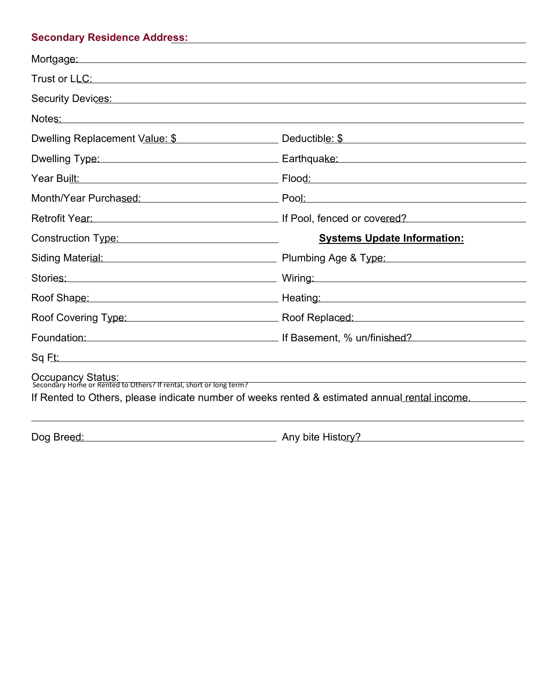# **Secondary Residence Address:**

| Notes: 2008 - 2008 - 2010 - 2010 - 2010 - 2010 - 2010 - 2010 - 2010 - 2010 - 2010 - 2010 - 2010 - 2010 - 2010 |                                                                                                                                                                                                                                      |
|---------------------------------------------------------------------------------------------------------------|--------------------------------------------------------------------------------------------------------------------------------------------------------------------------------------------------------------------------------------|
|                                                                                                               |                                                                                                                                                                                                                                      |
|                                                                                                               | Dwelling Type: <u>New York: Earthquake:</u> Earthquake: New York: New York: New York: New York: New York: New York: New York: New York: New York: New York: New York: New York: New York: New York: New York: New York: New York: N  |
| Year Built:                                                                                                   |                                                                                                                                                                                                                                      |
|                                                                                                               | Month/Year Purchased: Notified the Rool: North Pool: North American Contract of the Contract of the Contract of Technical Contract of Technical Contract of Technical Contract of Technical Contract of Technical Contract of        |
|                                                                                                               |                                                                                                                                                                                                                                      |
| Construction Type: 2004                                                                                       | <b>Systems Update Information:</b>                                                                                                                                                                                                   |
|                                                                                                               | Siding Material: <u>Contract Community of Plumbing Age &amp; Type:</u> Community of the Siding Material:                                                                                                                             |
|                                                                                                               | Stories: <u>Stories:</u> Stories: Stories: Stories: Stories: Stories: Stories: Stories: Stories: Stories: Stories: Stories: Stories: Stories: Stories: Stories: Stories: Stories: Stories: Stories: Stories: Stories: Stories: Stor  |
|                                                                                                               | Roof Shape: <u>New York: New York: New York: New York: New York: New York: New York: New York: New York: New York: New York: New York: New York: New York: New York: New York: New York: New York: New York: New York: New York:</u> |
|                                                                                                               | Roof Covering Type: <u>New York: Roof Replaced:</u> Noof Covering Type:                                                                                                                                                              |
|                                                                                                               | Foundation: The University of Basement, % un/finished?                                                                                                                                                                               |
|                                                                                                               |                                                                                                                                                                                                                                      |
| Occupancy Status:<br>Secondary Home or Rented to Others? If rental, short or long term?                       |                                                                                                                                                                                                                                      |
|                                                                                                               | If Rented to Others, please indicate number of weeks rented & estimated annual rental income.                                                                                                                                        |
| Dog Breed:<br>Any bite History?                                                                               |                                                                                                                                                                                                                                      |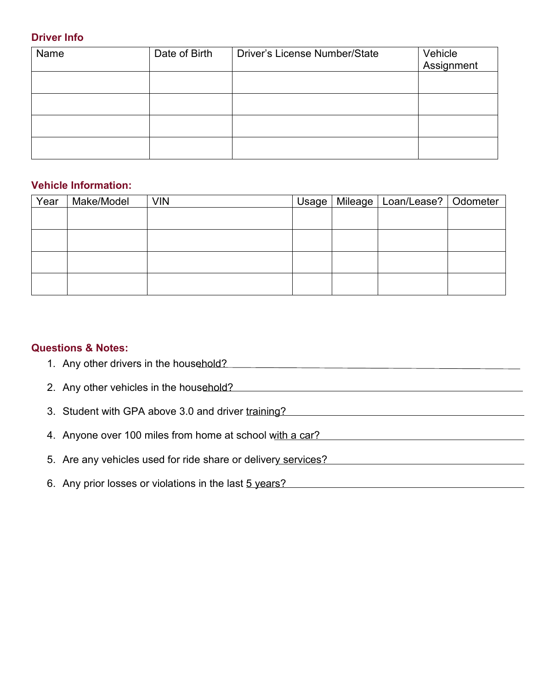#### **Driver Info**

| Name | Date of Birth | <b>Driver's License Number/State</b> | Vehicle<br>Assignment |
|------|---------------|--------------------------------------|-----------------------|
|      |               |                                      |                       |
|      |               |                                      |                       |
|      |               |                                      |                       |
|      |               |                                      |                       |

### **Vehicle Information:**

| Year | Make/Model | <b>VIN</b> | Usage | Mileage   Loan/Lease?   Odometer |  |
|------|------------|------------|-------|----------------------------------|--|
|      |            |            |       |                                  |  |
|      |            |            |       |                                  |  |
|      |            |            |       |                                  |  |
|      |            |            |       |                                  |  |
|      |            |            |       |                                  |  |
|      |            |            |       |                                  |  |
|      |            |            |       |                                  |  |
|      |            |            |       |                                  |  |

#### **Questions & Notes:**

- 1. Any other drivers in the household? **Analytical Contract and Contract Analytical Contract Analytical Contract**
- 2. Any other vehicles in the household?
- 3. Student with GPA above 3.0 and driver training?
- 4. Anyone over 100 miles from home at school with a car?
- 5. Are any vehicles used for ride share or delivery services?
- 6. Any prior losses or violations in the last 5 years?